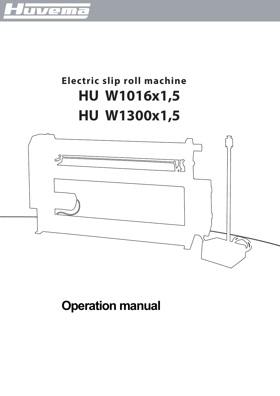

# **Electric slip roll machine HU W1016x1,5 HU W1300x1,5**



**Operation manual**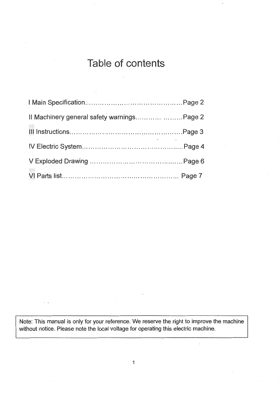## Table of contents

| Il Machinery general safety warnings Page 2 |  |
|---------------------------------------------|--|
|                                             |  |
| and the contract of the contract of the     |  |
|                                             |  |
|                                             |  |

Note: This manual is only for your reference. We reserve the right to improve the machine without notice. Please note the local voltage for operating this electric machine.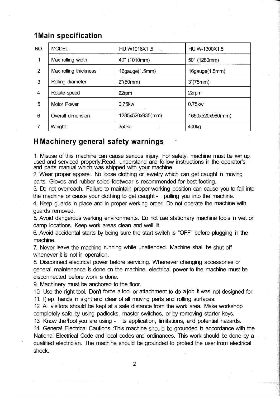## **1 Main specification**

| NO.            | <b>MODEL</b>          | HU W1016X1 5      | HU W-1300X1.5     |
|----------------|-----------------------|-------------------|-------------------|
| 1              | Max rolling width     | 40" (1010mm)      | 50" (1280mm)      |
| $\overline{2}$ | Max rolling thickness | 16gauge(1.5mm)    | 16gauge(1.5mm)    |
| 3              | Rolling diameter      | 2" (50mm)         | 3''(75mm)         |
| 4              | Rotate speed          | 22rpm             | 22rpm             |
| 5              | <b>Motor Power</b>    | 0.75kw            | 0.75kw            |
| 6              | Overall dimension     | 1285x520x935(mm)  | 1650x520x960(mm)  |
| 7              | Weight                | 350 <sub>kg</sub> | 400 <sub>kg</sub> |

## **H Machinery general safety warnings**

1. Misuse of this machine can cause serious injury. For safety, machine must be set up, used and serviced properly.Read, understand and follow instructions in the operator's and parts manual which was shipped with your machine.

Wear proper apparel. No loose clothing or jewelry which can get caught in moving parts. Gloves and rubber soled footwear is recommended for best footing.

3. Do not overreach. Failure to maintain proper working position can cause you to fall into the machine or cause your clothing to get caught - pulling you into the machine.

4. Keep guards in place and in proper werking order. Do not operate the machine with guards removed.

5. Avoid dangerous werking environments. Do not use stationary machine tools in wet or damp locations. Keep work areas clean and well lit.

6. Avoid accidental starts by being sure the start switch is "OFF" before plugging in the machine.

7. Never leave the machine running while unattended. Machine shall be shut off whenever it is not in operation.

8. Disconnect electrical power before servicing. Whenever changing accessories or genera! maintenance is done on the machine, electrical power to the machine must be disconnected before work is done.

9. Machinery must be anchored to the floor.

10. Use the right tool. Don't force a tool or attachment to do a job it was not designed for.

11. l( ep hands in sight and clear of all moving parts and rolling surfaces.

12. All visitors should be kept at a safe distance from the work area. Make workshop completely safe by using padlocks, master switches, or by removing starter keys.

13. Know the lool you are using - its application, limitations, and potential hazards. 14. Genera! Electrical Cautions :This machine should be grounded in accordance with the National Electrical Code and local codes and ordinances. This work should be done by a qualified electrician. The machine should be grounded to protect the user from electrical shock.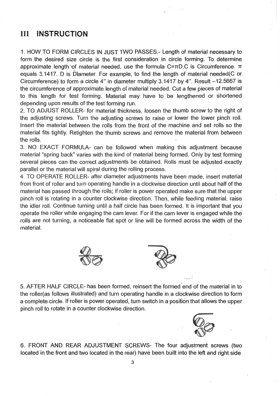#### III **INSTRUCTION**

1. HOW TO FORM CIRCLES IN JUST TWO PASSES.- Length of material necessary to form the desired size circle is the first consideration in circle forming. To determine approximate length of material needed, use the formula  $C=\pi D.C$  is Circumference.  $\pi$ equals 3.1417. D is Diameter. For example, to find the length of material needed (C or Circumference) to form a circle 4" in diameter multiply 3.1417 by 4". Result -12.5667 is the circumference of approximate length of material needed. Cut a few pieces of material to this length for test forming. Material may have to be lengthened or shortened depending upon results of the test forming run.

2. TO ADJUST ROLLER- for material thickness, loosen the thumb screw to the right of the adjusting screws. Turn the adjusting screws to raise or lower the lower pinch roll. Insert the material between the rolls from the front of the machine and set rolls so the material fits tightly. Retighten the thumb screws and remove the material from between the rolls.

3. NO EXACT FORMULA- can be followed when making this adjustment because material "spring back" varies with the kind of material being formed. Only by test forming several pieces can the correct adjustments be obtained. Rolls must be adjusted exactly parallel or the material will spiral during the rolling process.

4. TO OPERATE ROLLER- after diameter adjustments have been made, insert material from front of roller and turn operating handle in a clockwise direction until about half of the material has passed through the rolls; if roller is power operated make sure that the upper pinch roll is rotating in a counter clockwise direction. Then, while feeding material, raise the idler roll. Continue turning until a half circle has been formed. It is important that you operate the roller while engaging the cam lever. For if the cam lever is engaged while the rolls are not turning, a noticeable flat spot or line will be formed across the width of the material.





5. AFTER HALF CIRCLE- has been formed, reinsert the formed end of the material in to the roller(as follows illustrated) and turn operating handle in a clockwise direction to form a complete circle. If roller is power operated, turn switch in a position that allows the upper pinch roll to rotate in a counter clockwise direction.



6. FRONT AND REAR ADJUSTMENT SCREWS- The four adjustment screws (two located in the front and two located in the rear) have been built into the left and right side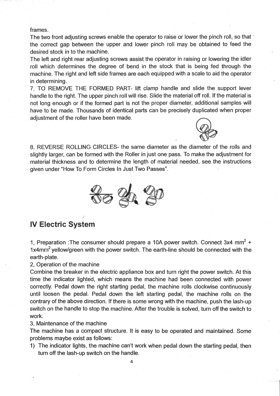frames.

The two front adjusting screws enable the operator to raise or lower the pinch roll, so that the correct gap between the upper and lower pinch roll may be obtained to feed the desired stock in to the machine.

The left and right rear adjusting screws assist the operator in raising or lowering the idler roll which determines the degree of bend in the stock that is being fed through the machine. The right and left side frames are each equipped with a scale to aid the operator in determining.

7. TO REMOVE THE FORMED PART- lift clamp handle and slide the support lever handle to the right. The upper pinch roll will rise. Slide the material off roll. If the material is not long enough or if the formed part is not the proper diameter, additional samples will have to be made. Thousands of identical parts can be precisely duplicated when proper adjustment of the roller have been made.



8. REVERSE ROLLING CIRCLES- the same diameter as the diameter of the rolls and slightly larger, can be formed with the Roller in just one pass. To make the adjustment for material thickness and to determine the length of material needed, see the instructions given under "How To Form Circles In Just Two Passes".



## **IV Electric System**

1. Preparation : The consumer should prepare a 10A power switch. Connect  $3x4$  mm<sup>2</sup> + 1x4mm<sup>2</sup> yellow/green with the power switch. The earth-line should be connected with the earth-plate.

2, Operation of the machine

Combine the breaker in the electric appliance box and turn right the power switch. At this time the indicator lighted, which means the machine had been connected with power correctly. Pedal down the right starting pedal, the machine rolls clockwise continuously until loosen the pedal. Pedal down the left starting pedal, the machine rolls on the contrary of the above direction. If there is some wrong with the machine, push the lash-up switch on the handle to stop the machine. After the trouble is solved, turn off the switch to work.

3. Maintenance of the machine

The machine has a compact structure. It is easy to be operated and maintained. Some problems maybe exist as follows:

1) The indicator lights, the machine can't work when pedal down the starting pedal, then turn off the lash-up switch on the handle.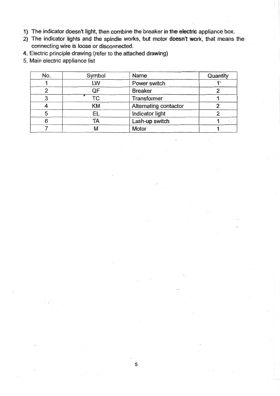- 1) The indicator doesn't light, then combine the breaker in the electric appliance box.
- 2) The indicator lights and the spindle works, but motor doesn't work, that means the connecting wire is loose or disconnected.
- 4, Electric principle drawing (refer to the attached drawing)
- 5, Main electric appliance list

| No. | Symbol | Name                  | Quantity |
|-----|--------|-----------------------|----------|
|     | LW     | Power switch          |          |
|     | QF     | <b>Breaker</b>        |          |
|     | ТC     | Transformer           |          |
|     | KM     | Alternating contactor |          |
| 5   | ΕL     | Indicator light       |          |
| 6   | TA     | Lash-up switch        |          |
|     | M      | Motor                 |          |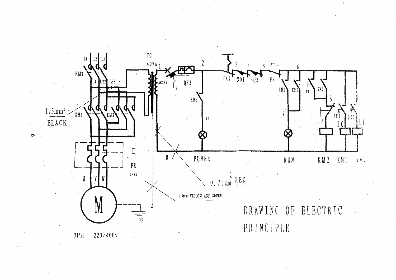

 $\,$  1  $\,$ 

 $3PH$ 220/400v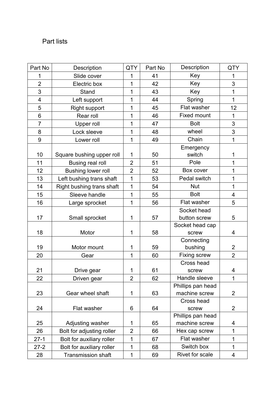## Part lists

| Part No                 | Description               | <b>QTY</b>     | Part No | Description         | <b>QTY</b>     |
|-------------------------|---------------------------|----------------|---------|---------------------|----------------|
| 1                       | Slide cover               | 1              | 41      | Key                 | 1              |
| $\overline{2}$          | Electric box              | 1              | 42      | Key                 | 3              |
| 3                       | <b>Stand</b>              | 1              | 43      | Key                 | 1              |
| $\overline{\mathbf{4}}$ | Left support              | 1              | 44      | Spring              | 1              |
| 5                       | <b>Right support</b>      | 1              | 45      | Flat washer         | 12             |
| 6                       | Rear roll                 | 1              | 46      | <b>Fixed mount</b>  | 1              |
| $\overline{7}$          | Upper roll                | 1              | 47      | <b>Bolt</b>         | 3              |
| 8                       | Lock sleeve               | 1              | 48      | wheel               | 3              |
| 9                       | Lower roll                | 1              | 49      | Chain               | $\overline{1}$ |
|                         |                           |                |         | Emergency           |                |
| 10                      | Square bushing upper roll | $\mathbf 1$    | 50      | switch              | 1              |
| 11                      | <b>Busing real roll</b>   | $\overline{2}$ | 51      | Pole                | 1              |
| 12                      | <b>Bushing lower roll</b> | $\overline{2}$ | 52      | Box cover           | 1              |
| 13                      | Left bushing trans shaft  | 1              | 53      | Pedal switch        | 1              |
| 14                      | Right bushing trans shaft | $\overline{1}$ | 54      | <b>Nut</b>          | 1              |
| 15                      | Sleeve handle             | 1              | 55      | <b>Bolt</b>         | 4              |
| 16                      | Large sprocket            | 1              | 56      | Flat washer         | 5              |
|                         |                           |                |         | Socket head         |                |
| 17                      | Small sprocket            | 1              | 57      | button screw        | 5              |
|                         |                           |                |         | Socket head cap     |                |
| 18                      | Motor                     | 1              | 58      | screw               | 4              |
|                         |                           |                |         | Connecting          |                |
| 19                      | Motor mount               | 1              | 59      | bushing             | 2              |
| 20                      | Gear                      | 1              | 60      | <b>Fixing screw</b> | $\overline{2}$ |
|                         |                           |                |         | Cross head          |                |
| 21                      | Drive gear                | 1              | 61      | screw               | 4              |
| 22                      | Driven gear               | $\overline{2}$ | 62      | Handle sleeve       | 1              |
|                         |                           |                |         | Phillips pan head   |                |
| 23                      | Gear wheel shaft          | $\mathbf 1$    | 63      | machine screw       | 2              |
|                         |                           |                |         | Cross head          |                |
| 24                      | Flat washer               | 6              | 64      | screw               | 2              |
|                         |                           |                |         | Phillips pan head   |                |
| 25                      | Adjusting washer          | 1              | 65      | machine screw       | 4              |
| 26                      | Bolt for adjusting roller | $\overline{2}$ | 66      | Hex cap screw       | 1              |
| $27-1$                  | Bolt for auxiliary roller | 1              | 67      | Flat washer         | 1              |
| $27 - 2$                | Bolt for auxiliary roller | 1              | 68      | Switch box          | 1              |
| 28                      | <b>Transmission shaft</b> | 1              | 69      | Rivet for scale     | 4              |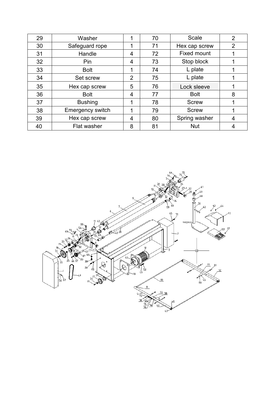| 29 | Washer                  |   | 70 | Scale              | $\overline{2}$ |
|----|-------------------------|---|----|--------------------|----------------|
| 30 | Safeguard rope          |   | 71 | Hex cap screw      | $\overline{2}$ |
| 31 | Handle                  | 4 | 72 | <b>Fixed mount</b> |                |
| 32 | Pin                     | 4 | 73 | Stop block         |                |
| 33 | <b>Bolt</b>             | 1 | 74 | L plate            |                |
| 34 | Set screw               | 2 | 75 | L plate            |                |
| 35 | Hex cap screw           | 5 | 76 | Lock sleeve        |                |
| 36 | <b>Bolt</b>             | 4 | 77 | <b>Bolt</b>        | 8              |
| 37 | <b>Bushing</b>          | 1 | 78 | <b>Screw</b>       |                |
| 38 | <b>Emergency switch</b> | 1 | 79 | <b>Screw</b>       |                |
| 39 | Hex cap screw           | 4 | 80 | Spring washer      | 4              |
| 40 | <b>Flat washer</b>      | 8 | 81 | <b>Nut</b>         |                |

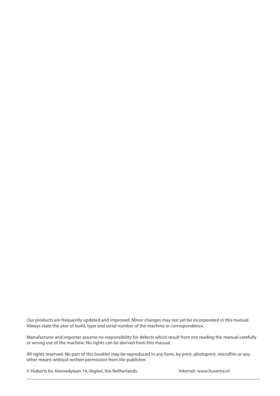Our products are frequently updated and improved. Minor changes may not yet be incorporated in this manual. Always state the year of build, type and serial number of the machine in correspondence.

Manufacturer and importer assume no responsibility for defects which result from not reading the manual carefully or wrong use of the machine. No rights can be derived from this manual.

All rights reserved. No part of this booklet may be reproduced in any form, by print, photoprint, microfilm or any other means without written permission from the publisher.

© Huberts bv, Kennedylaan 14, Veghel, the Netherlands. Internet: www.huvema.nl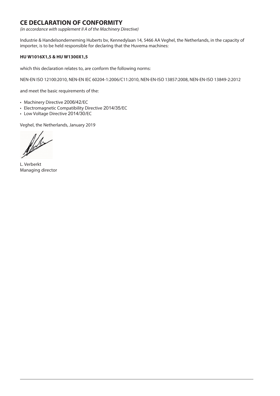### **CE DECLARATION OF CONFORMITY**

*(in accordance with supplement II A of the Machinery Directive)*

Industrie & Handelsonderneming Huberts bv, Kennedylaan 14, 5466 AA Veghel, the Netherlands, in the capacity of importer, is to be held responsible for declaring that the Huvema machines:

#### **HU W1016X1,5 & HU W1300X1,5**

which this declaration relates to, are conform the following norms:

NEN-EN ISO 12100:2010, NEN-EN IEC 60204-1:2006/C11:2010, NEN-EN-ISO 13857:2008, NEN-EN-ISO 13849-2:2012

and meet the basic requirements of the:

- Machinery Directive 2006/42/EC
- Electromagnetic Compatibility Directive 2014/35/EC
- Low Voltage Directive 2014/30/EC

Veghel, the Netherlands, January 2019

flex

L. Verberkt Managing director